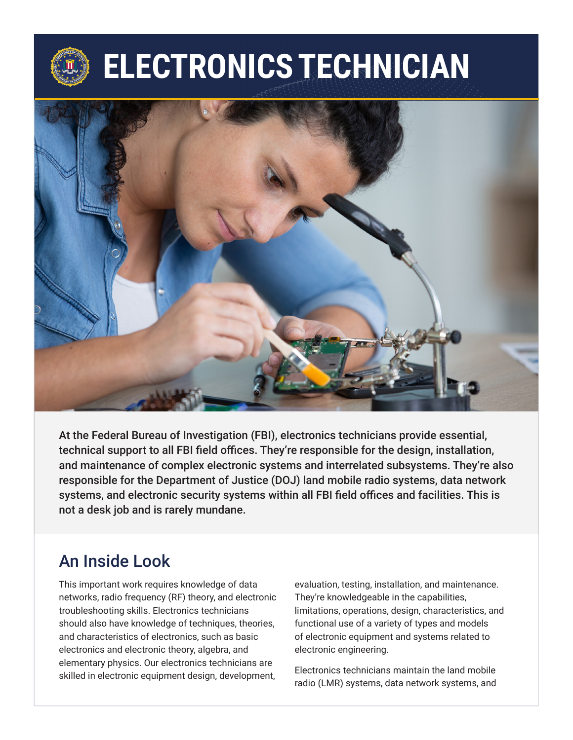# **ELECTRONICS TECHNICIAN**



At the Federal Bureau of Investigation (FBI), electronics technicians provide essential, technical support to all FBI field offices. They're responsible for the design, installation, and maintenance of complex electronic systems and interrelated subsystems. They're also responsible for the Department of Justice (DOJ) land mobile radio systems, data network systems, and electronic security systems within all FBI field offices and facilities. This is not a desk job and is rarely mundane.

### An Inside Look

This important work requires knowledge of data networks, radio frequency (RF) theory, and electronic troubleshooting skills. Electronics technicians should also have knowledge of techniques, theories, and characteristics of electronics, such as basic electronics and electronic theory, algebra, and elementary physics. Our electronics technicians are skilled in electronic equipment design, development,

evaluation, testing, installation, and maintenance. They're knowledgeable in the capabilities, limitations, operations, design, characteristics, and functional use of a variety of types and models of electronic equipment and systems related to electronic engineering.

Electronics technicians maintain the land mobile radio (LMR) systems, data network systems, and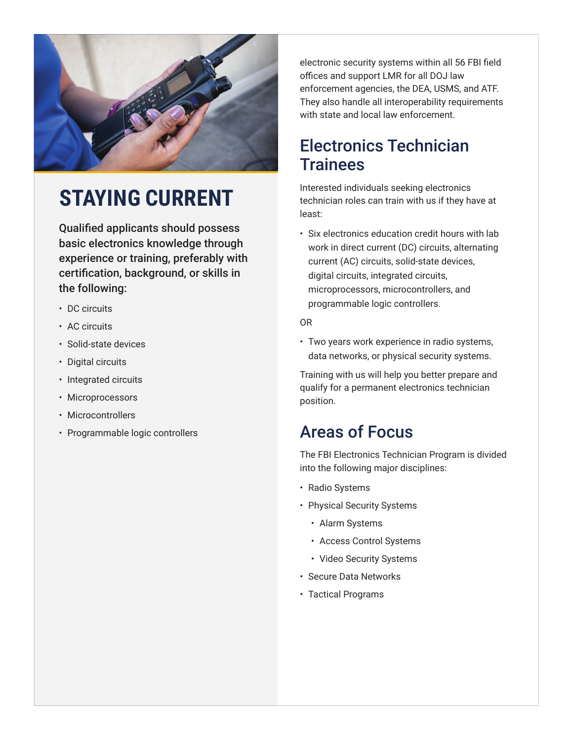

# **STAYING CURRENT**

Qualified applicants should possess basic electronics knowledge through experience or training, preferably with certification, background, or skills in the following:

- DC circuits
- AC circuits
- Solid-state devices
- Digital circuits
- Integrated circuits
- Microprocessors
- Microcontrollers
- Programmable logic controllers

electronic security systems within all 56 FBI field offices and support LMR for all DOJ law enforcement agencies, the DEA, USMS, and ATF. They also handle all interoperability requirements with state and local law enforcement.

#### Electronics Technician **Trainees**

Interested individuals seeking electronics technician roles can train with us if they have at least:

• Six electronics education credit hours with lab work in direct current (DC) circuits, alternating current (AC) circuits, solid-state devices, digital circuits, integrated circuits, microprocessors, microcontrollers, and programmable logic controllers.

#### OR

• Two years work experience in radio systems, data networks, or physical security systems.

Training with us will help you better prepare and qualify for a permanent electronics technician position.

### Areas of Focus

The FBI Electronics Technician Program is divided into the following major disciplines:

- Radio Systems
- Physical Security Systems
	- Alarm Systems
	- Access Control Systems
	- Video Security Systems
- Secure Data Networks
- Tactical Programs